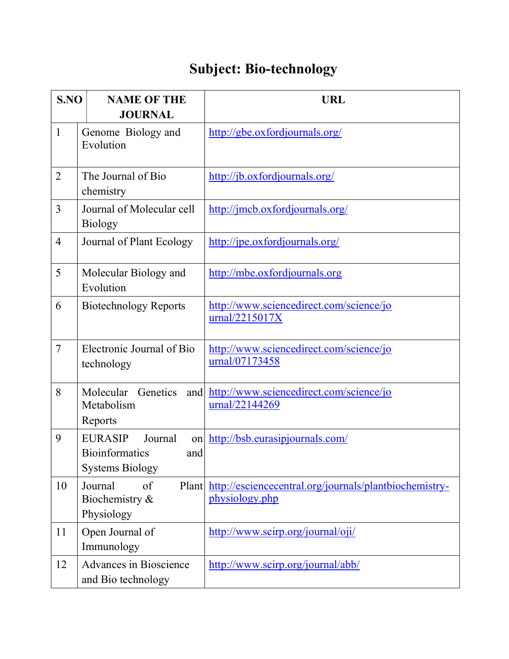## Subject: Bio-technology

| S.NO           | <b>NAME OF THE</b><br><b>JOURNAL</b>                                                      | <b>URL</b>                                                               |
|----------------|-------------------------------------------------------------------------------------------|--------------------------------------------------------------------------|
| $\mathbf{1}$   | Genome Biology and<br>Evolution                                                           | http://gbe.oxfordjournals.org/                                           |
| $\overline{2}$ | The Journal of Bio<br>chemistry                                                           | http://jb.oxfordjournals.org/                                            |
| 3              | Journal of Molecular cell<br><b>Biology</b>                                               | http://jmcb.oxfordjournals.org/                                          |
| $\overline{4}$ | Journal of Plant Ecology                                                                  | http://jpe.oxfordjournals.org/                                           |
| 5              | Molecular Biology and<br>Evolution                                                        | http://mbe.oxfordjournals.org                                            |
| 6              | <b>Biotechnology Reports</b>                                                              | http://www.sciencedirect.com/science/jo<br>urnal/2215017X                |
| $\overline{7}$ | Electronic Journal of Bio<br>technology                                                   | http://www.sciencedirect.com/science/jo<br>urnal/07173458                |
| 8              | Molecular Genetics<br>and<br>Metabolism<br>Reports                                        | http://www.sciencedirect.com/science/jo<br>urnal/22144269                |
| 9              | <b>EURASIP</b><br>Journal<br>on<br><b>Bioinformatics</b><br>and<br><b>Systems Biology</b> | http://bsb.eurasipjournals.com/                                          |
| 10             | Journal<br>of<br>Plant<br>Biochemistry &<br>Physiology                                    | http://esciencecentral.org/journals/plantbiochemistry-<br>physiology.php |
| 11             | Open Journal of<br>Immunology                                                             | http://www.scirp.org/journal/oji/                                        |
| 12             | <b>Advances in Bioscience</b><br>and Bio technology                                       | http://www.scirp.org/journal/abb/                                        |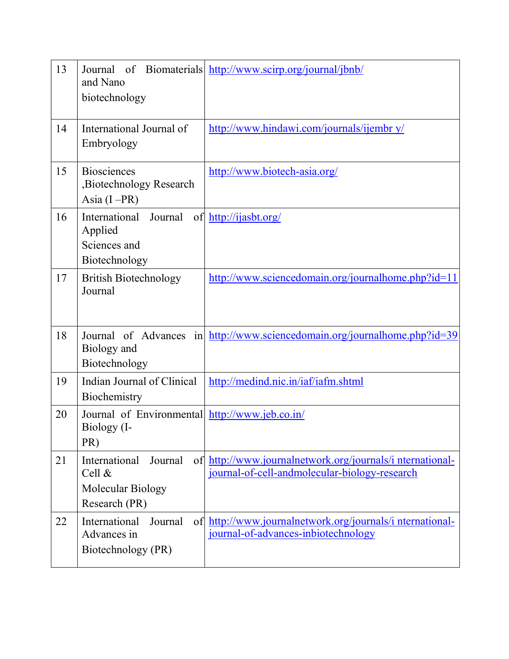| 13 | Journal<br>and Nano<br>biotechnology                                     | of Biomaterials http://www.scirp.org/journal/jbnb/                                                        |
|----|--------------------------------------------------------------------------|-----------------------------------------------------------------------------------------------------------|
| 14 | International Journal of<br>Embryology                                   | http://www.hindawi.com/journals/ijembr y/                                                                 |
| 15 | <b>Biosciences</b><br>Biotechnology Research<br>Asia $(I - PR)$          | http://www.biotech-asia.org/                                                                              |
| 16 | International<br>Journal<br>Applied<br>Sciences and<br>Biotechnology     | of http://ijasbt.org/                                                                                     |
| 17 | <b>British Biotechnology</b><br>Journal                                  | http://www.sciencedomain.org/journalhome.php?id=11                                                        |
| 18 | Biology and<br>Biotechnology                                             | Journal of Advances in http://www.sciencedomain.org/journalhome.php?id=39                                 |
| 19 | Indian Journal of Clinical<br>Biochemistry                               | http://medind.nic.in/iaf/iafm.shtml                                                                       |
| 20 | Journal of Environmental http://www.jeb.co.in/<br>Biology (I-<br>PR)     |                                                                                                           |
| 21 | International<br>Journal<br>Cell &<br>Molecular Biology<br>Research (PR) | of http://www.journalnetwork.org/journals/international-<br>journal-of-cell-andmolecular-biology-research |
| 22 | International<br>Journal<br>Advances in<br>Biotechnology (PR)            | of http://www.journalnetwork.org/journals/international-<br>journal-of-advances-inbiotechnology           |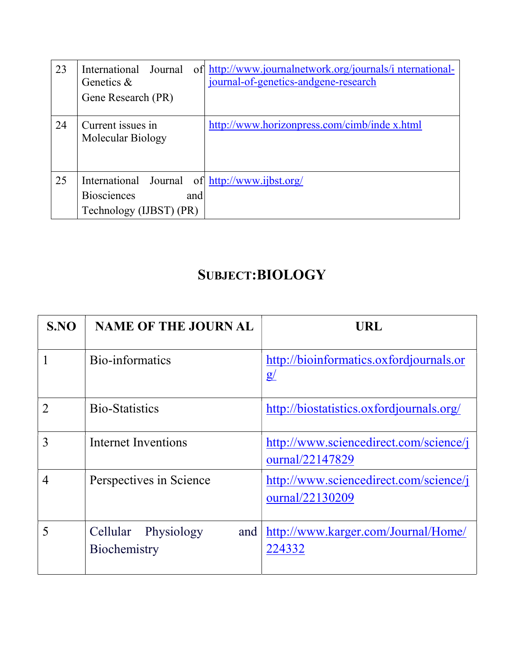| 23 | International<br>Journal<br>Genetics $\&$<br>Gene Research (PR)                                        | of http://www.journalnetwork.org/journals/international-<br>journal-of-genetics-andgene-research |
|----|--------------------------------------------------------------------------------------------------------|--------------------------------------------------------------------------------------------------|
| 24 | Current issues in<br>Molecular Biology                                                                 | http://www.horizonpress.com/cimb/inde x.html                                                     |
| 25 | International Journal of http://www.ijbst.org/<br><b>Biosciences</b><br>and<br>Technology (IJBST) (PR) |                                                                                                  |

## SUBJECT:BIOLOGY

| SNO            | <b>NAME OF THE JOURN AL</b>                | URL                                                       |
|----------------|--------------------------------------------|-----------------------------------------------------------|
|                | Bio-informatics                            | http://bioinformatics.oxfordjournals.or<br>g/             |
|                | <b>Bio-Statistics</b>                      | http://biostatistics.oxfordjournals.org/                  |
| 3              | Internet Inventions                        | http://www.sciencedirect.com/science/j<br>ournal/22147829 |
| $\overline{4}$ | Perspectives in Science                    | http://www.sciencedirect.com/science/j<br>ournal/22130209 |
| 5              | Cellular Physiology<br>and<br>Biochemistry | http://www.karger.com/Journal/Home/<br>224332             |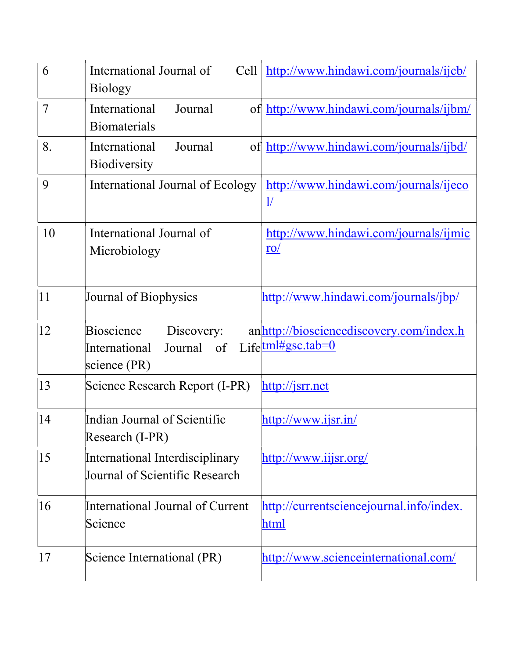| 6  | International Journal of<br>Cell<br><b>Biology</b>                      | http://www.hindawi.com/journals/ijcb/                                |
|----|-------------------------------------------------------------------------|----------------------------------------------------------------------|
| 7  | International<br>Journal<br><b>Biomaterials</b>                         | of http://www.hindawi.com/journals/ijbm/                             |
| 8. | International<br>Journal<br><b>Biodiversity</b>                         | of http://www.hindawi.com/journals/ijbd/                             |
| 9  | International Journal of Ecology                                        | http://www.hindawi.com/journals/ijeco<br>$\underline{\underline{1}}$ |
| 10 | International Journal of<br>Microbiology                                | http://www.hindawi.com/journals/ijmic<br>$\underline{\mathrm{ro}}$   |
| 11 | Journal of Biophysics                                                   | http://www.hindawi.com/journals/jbp/                                 |
| 12 | Bioscience<br>Discovery:<br>Journal of<br>International<br>science (PR) | anhttp://biosciencediscovery.com/index.h<br>Life $tml#gsc.tab=0$     |
| 13 | Science Research Report (I-PR)                                          | http://jsrr.net                                                      |
| 14 | Indian Journal of Scientific<br>Research (I-PR)                         | $\frac{http://www.ijsr.in/}{$                                        |
| 15 | International Interdisciplinary<br>Journal of Scientific Research       | http://www.iijsr.org/                                                |
| 16 | International Journal of Current<br>Science                             | http://currentsciencejournal.info/index.<br>html                     |
| 17 | Science International (PR)                                              | http://www.scienceinternational.com/                                 |